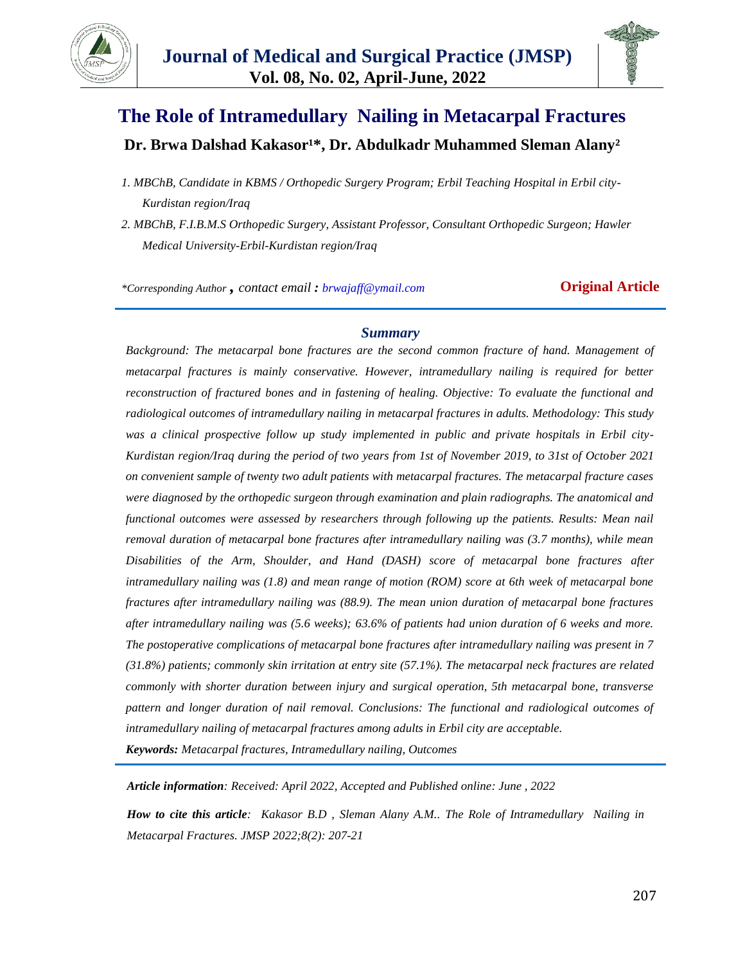



# **The Role of Intramedullary Nailing in Metacarpal Fractures** Dr. Brwa Dalshad Kakasor<sup>1\*</sup>, Dr. Abdulkadr Muhammed Sleman Alany<sup>2</sup>

*1. MBChB, Candidate in KBMS / Orthopedic Surgery Program; Erbil Teaching Hospital in Erbil city-Kurdistan region/Iraq*

*\*Corresponding Author , contact email : brwajaff@ymail.com* **Original Article**

#### *Summary*

*Background: The metacarpal bone fractures are the second common fracture of hand. Management of metacarpal fractures is mainly conservative. However, intramedullary nailing is required for better reconstruction of fractured bones and in fastening of healing. Objective: To evaluate the functional and radiological outcomes of intramedullary nailing in metacarpal fractures in adults. Methodology: This study was a clinical prospective follow up study implemented in public and private hospitals in Erbil city-Kurdistan region/Iraq during the period of two years from 1st of November 2019, to 31st of October 2021 on convenient sample of twenty two adult patients with metacarpal fractures. The metacarpal fracture cases were diagnosed by the orthopedic surgeon through examination and plain radiographs. The anatomical and functional outcomes were assessed by researchers through following up the patients. Results: Mean nail removal duration of metacarpal bone fractures after intramedullary nailing was (3.7 months), while mean Disabilities of the Arm, Shoulder, and Hand (DASH) score of metacarpal bone fractures after intramedullary nailing was (1.8) and mean range of motion (ROM) score at 6th week of metacarpal bone fractures after intramedullary nailing was (88.9). The mean union duration of metacarpal bone fractures after intramedullary nailing was (5.6 weeks); 63.6% of patients had union duration of 6 weeks and more. The postoperative complications of metacarpal bone fractures after intramedullary nailing was present in 7 (31.8%) patients; commonly skin irritation at entry site (57.1%). The metacarpal neck fractures are related commonly with shorter duration between injury and surgical operation, 5th metacarpal bone, transverse pattern and longer duration of nail removal. Conclusions: The functional and radiological outcomes of intramedullary nailing of metacarpal fractures among adults in Erbil city are acceptable. Keywords: Metacarpal fractures, Intramedullary nailing, Outcomes*

*Article information: Received: April 2022, Accepted and Published online: June , 2022*

*How to cite this article: Kakasor B.D , Sleman Alany A.M.. The Role of Intramedullary Nailing in Metacarpal Fractures. JMSP 2022;8(2): 207-21*

*<sup>2.</sup> MBChB, F.I.B.M.S Orthopedic Surgery, Assistant Professor, Consultant Orthopedic Surgeon; Hawler Medical University-Erbil-Kurdistan region/Iraq*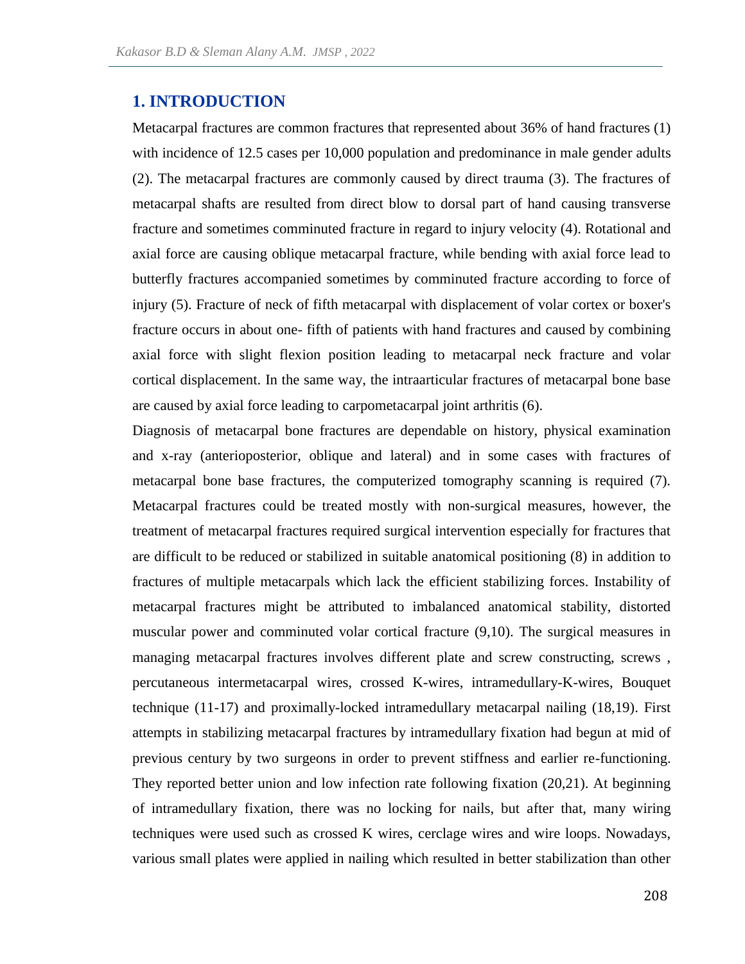## **1. INTRODUCTION**

Metacarpal fractures are common fractures that represented about 36% of hand fractures (1) with incidence of 12.5 cases per 10,000 population and predominance in male gender adults (2). The metacarpal fractures are commonly caused by direct trauma (3). The fractures of metacarpal shafts are resulted from direct blow to dorsal part of hand causing transverse fracture and sometimes comminuted fracture in regard to injury velocity (4). Rotational and axial force are causing oblique metacarpal fracture, while bending with axial force lead to butterfly fractures accompanied sometimes by comminuted fracture according to force of injury (5). Fracture of neck of fifth metacarpal with displacement of volar cortex or boxer's fracture occurs in about one- fifth of patients with hand fractures and caused by combining axial force with slight flexion position leading to metacarpal neck fracture and volar cortical displacement. In the same way, the intraarticular fractures of metacarpal bone base are caused by axial force leading to carpometacarpal joint arthritis (6).

Diagnosis of metacarpal bone fractures are dependable on history, physical examination and x-ray (anterioposterior, oblique and lateral) and in some cases with fractures of metacarpal bone base fractures, the computerized tomography scanning is required (7). Metacarpal fractures could be treated mostly with non-surgical measures, however, the treatment of metacarpal fractures required surgical intervention especially for fractures that are difficult to be reduced or stabilized in suitable anatomical positioning (8) in addition to fractures of multiple metacarpals which lack the efficient stabilizing forces. Instability of metacarpal fractures might be attributed to imbalanced anatomical stability, distorted muscular power and comminuted volar cortical fracture (9,10). The surgical measures in managing metacarpal fractures involves different plate and screw constructing, screws , percutaneous intermetacarpal wires, crossed K-wires, intramedullary-K-wires, Bouquet technique (11-17) and proximally-locked intramedullary metacarpal nailing (18,19). First attempts in stabilizing metacarpal fractures by intramedullary fixation had begun at mid of previous century by two surgeons in order to prevent stiffness and earlier re-functioning. They reported better union and low infection rate following fixation (20,21). At beginning of intramedullary fixation, there was no locking for nails, but after that, many wiring techniques were used such as crossed K wires, cerclage wires and wire loops. Nowadays, various small plates were applied in nailing which resulted in better stabilization than other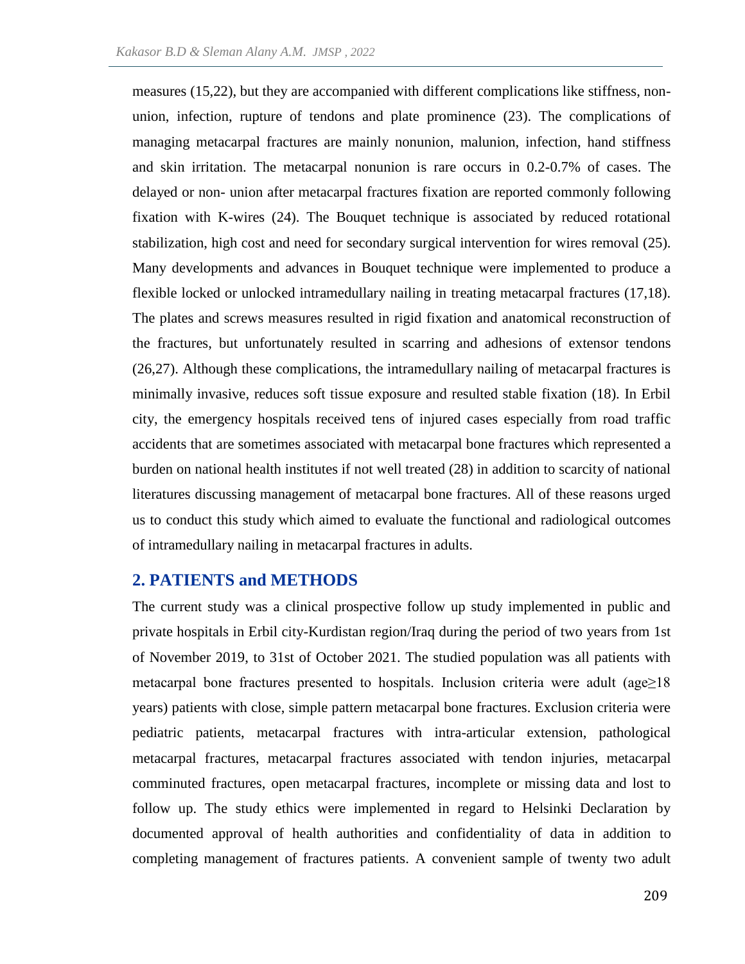measures (15,22), but they are accompanied with different complications like stiffness, nonunion, infection, rupture of tendons and plate prominence (23). The complications of managing metacarpal fractures are mainly nonunion, malunion, infection, hand stiffness and skin irritation. The metacarpal nonunion is rare occurs in 0.2-0.7% of cases. The delayed or non- union after metacarpal fractures fixation are reported commonly following fixation with K-wires (24). The Bouquet technique is associated by reduced rotational stabilization, high cost and need for secondary surgical intervention for wires removal (25). Many developments and advances in Bouquet technique were implemented to produce a flexible locked or unlocked intramedullary nailing in treating metacarpal fractures (17,18). The plates and screws measures resulted in rigid fixation and anatomical reconstruction of the fractures, but unfortunately resulted in scarring and adhesions of extensor tendons (26,27). Although these complications, the intramedullary nailing of metacarpal fractures is minimally invasive, reduces soft tissue exposure and resulted stable fixation (18). In Erbil city, the emergency hospitals received tens of injured cases especially from road traffic accidents that are sometimes associated with metacarpal bone fractures which represented a burden on national health institutes if not well treated (28) in addition to scarcity of national literatures discussing management of metacarpal bone fractures. All of these reasons urged us to conduct this study which aimed to evaluate the functional and radiological outcomes of intramedullary nailing in metacarpal fractures in adults.

### **2. PATIENTS and METHODS**

The current study was a clinical prospective follow up study implemented in public and private hospitals in Erbil city-Kurdistan region/Iraq during the period of two years from 1st of November 2019, to 31st of October 2021. The studied population was all patients with metacarpal bone fractures presented to hospitals. Inclusion criteria were adult (age≥18 years) patients with close, simple pattern metacarpal bone fractures. Exclusion criteria were pediatric patients, metacarpal fractures with intra-articular extension, pathological metacarpal fractures, metacarpal fractures associated with tendon injuries, metacarpal comminuted fractures, open metacarpal fractures, incomplete or missing data and lost to follow up. The study ethics were implemented in regard to Helsinki Declaration by documented approval of health authorities and confidentiality of data in addition to completing management of fractures patients. A convenient sample of twenty two adult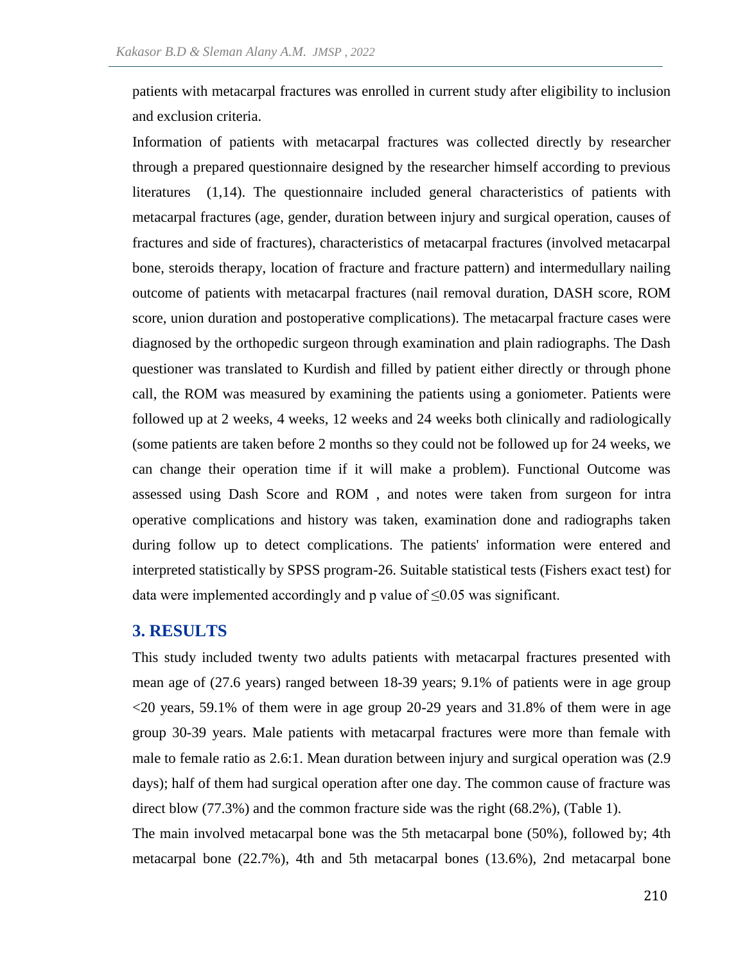patients with metacarpal fractures was enrolled in current study after eligibility to inclusion and exclusion criteria.

Information of patients with metacarpal fractures was collected directly by researcher through a prepared questionnaire designed by the researcher himself according to previous literatures (1,14). The questionnaire included general characteristics of patients with metacarpal fractures (age, gender, duration between injury and surgical operation, causes of fractures and side of fractures), characteristics of metacarpal fractures (involved metacarpal bone, steroids therapy, location of fracture and fracture pattern) and intermedullary nailing outcome of patients with metacarpal fractures (nail removal duration, DASH score, ROM score, union duration and postoperative complications). The metacarpal fracture cases were diagnosed by the orthopedic surgeon through examination and plain radiographs. The Dash questioner was translated to Kurdish and filled by patient either directly or through phone call, the ROM was measured by examining the patients using a goniometer. Patients were followed up at 2 weeks, 4 weeks, 12 weeks and 24 weeks both clinically and radiologically (some patients are taken before 2 months so they could not be followed up for 24 weeks, we can change their operation time if it will make a problem). Functional Outcome was assessed using Dash Score and ROM , and notes were taken from surgeon for intra operative complications and history was taken, examination done and radiographs taken during follow up to detect complications. The patients' information were entered and interpreted statistically by SPSS program-26. Suitable statistical tests (Fishers exact test) for data were implemented accordingly and p value of  $\leq 0.05$  was significant.

#### **3. RESULTS**

This study included twenty two adults patients with metacarpal fractures presented with mean age of (27.6 years) ranged between 18-39 years; 9.1% of patients were in age group <20 years, 59.1% of them were in age group 20-29 years and 31.8% of them were in age group 30-39 years. Male patients with metacarpal fractures were more than female with male to female ratio as 2.6:1. Mean duration between injury and surgical operation was (2.9 days); half of them had surgical operation after one day. The common cause of fracture was direct blow (77.3%) and the common fracture side was the right (68.2%), (Table 1).

The main involved metacarpal bone was the 5th metacarpal bone (50%), followed by; 4th metacarpal bone (22.7%), 4th and 5th metacarpal bones (13.6%), 2nd metacarpal bone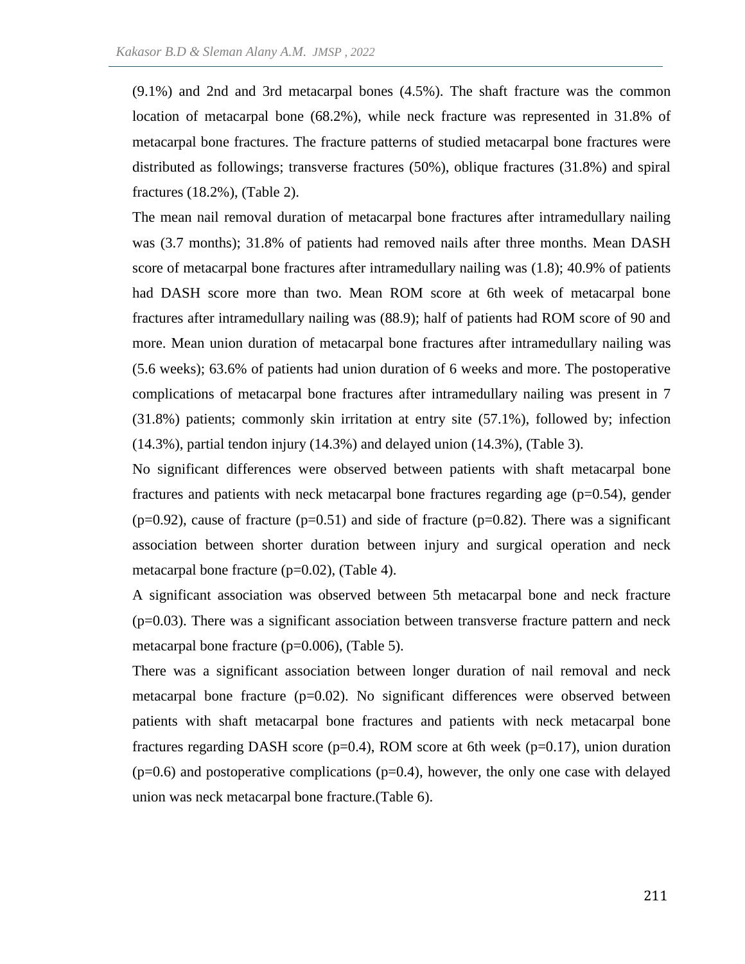(9.1%) and 2nd and 3rd metacarpal bones (4.5%). The shaft fracture was the common location of metacarpal bone (68.2%), while neck fracture was represented in 31.8% of metacarpal bone fractures. The fracture patterns of studied metacarpal bone fractures were distributed as followings; transverse fractures (50%), oblique fractures (31.8%) and spiral fractures (18.2%), (Table 2).

The mean nail removal duration of metacarpal bone fractures after intramedullary nailing was (3.7 months); 31.8% of patients had removed nails after three months. Mean DASH score of metacarpal bone fractures after intramedullary nailing was (1.8); 40.9% of patients had DASH score more than two. Mean ROM score at 6th week of metacarpal bone fractures after intramedullary nailing was (88.9); half of patients had ROM score of 90 and more. Mean union duration of metacarpal bone fractures after intramedullary nailing was (5.6 weeks); 63.6% of patients had union duration of 6 weeks and more. The postoperative complications of metacarpal bone fractures after intramedullary nailing was present in 7 (31.8%) patients; commonly skin irritation at entry site (57.1%), followed by; infection (14.3%), partial tendon injury (14.3%) and delayed union (14.3%), (Table 3).

No significant differences were observed between patients with shaft metacarpal bone fractures and patients with neck metacarpal bone fractures regarding age  $(p=0.54)$ , gender  $(p=0.92)$ , cause of fracture  $(p=0.51)$  and side of fracture  $(p=0.82)$ . There was a significant association between shorter duration between injury and surgical operation and neck metacarpal bone fracture (p=0.02), (Table 4).

A significant association was observed between 5th metacarpal bone and neck fracture  $(p=0.03)$ . There was a significant association between transverse fracture pattern and neck metacarpal bone fracture (p=0.006), (Table 5).

There was a significant association between longer duration of nail removal and neck metacarpal bone fracture  $(p=0.02)$ . No significant differences were observed between patients with shaft metacarpal bone fractures and patients with neck metacarpal bone fractures regarding DASH score ( $p=0.4$ ), ROM score at 6th week ( $p=0.17$ ), union duration  $(p=0.6)$  and postoperative complications  $(p=0.4)$ , however, the only one case with delayed union was neck metacarpal bone fracture.(Table 6).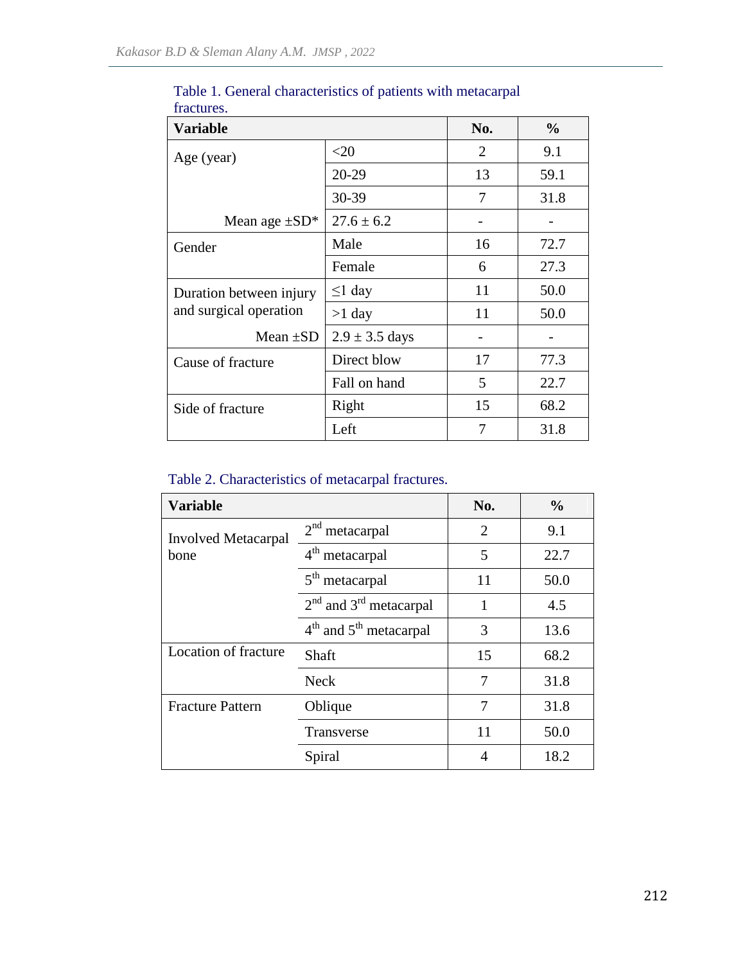| <b>Variable</b>         | No.                | $\frac{6}{6}$  |      |
|-------------------------|--------------------|----------------|------|
| Age (year)              | $<$ 20             | $\overline{2}$ | 9.1  |
|                         | 20-29              | 13             | 59.1 |
|                         | 30-39              | 7              | 31.8 |
| Mean age $\pm SD^*$     | $27.6 \pm 6.2$     |                |      |
| Gender                  | Male               | 16             | 72.7 |
|                         | Female             | 6              | 27.3 |
| Duration between injury | $\leq$ 1 day       | 11             | 50.0 |
| and surgical operation  | $>1$ day           | 11             | 50.0 |
| Mean $\pm SD$           | $2.9 \pm 3.5$ days |                |      |
| Cause of fracture       | Direct blow        | 17             | 77.3 |
|                         | Fall on hand       | 5              | 22.7 |
| Side of fracture        | Right              | 15             | 68.2 |
| Left                    |                    | 7              | 31.8 |

Table 1. General characteristics of patients with metacarpal fractures.

# Table 2. Characteristics of metacarpal fractures.

| <b>Variable</b>            |                            | No.            | $\frac{0}{0}$ |
|----------------------------|----------------------------|----------------|---------------|
| <b>Involved Metacarpal</b> | $2nd$ metacarpal           | $\overline{2}$ | 9.1           |
| bone                       | 4 <sup>th</sup> metacarpal | 5              | 22.7          |
|                            | 5 <sup>th</sup> metacarpal | 11             | 50.0          |
|                            | $2nd$ and $3rd$ metacarpal |                | 4.5           |
|                            | $4th$ and $5th$ metacarpal |                | 13.6          |
| Location of fracture       | Shaft                      | 15             | 68.2          |
|                            | <b>Neck</b>                |                | 31.8          |
| <b>Fracture Pattern</b>    | Oblique                    | 7              | 31.8          |
|                            | Transverse                 | 11             | 50.0          |
|                            | Spiral                     | 4              | 18.2          |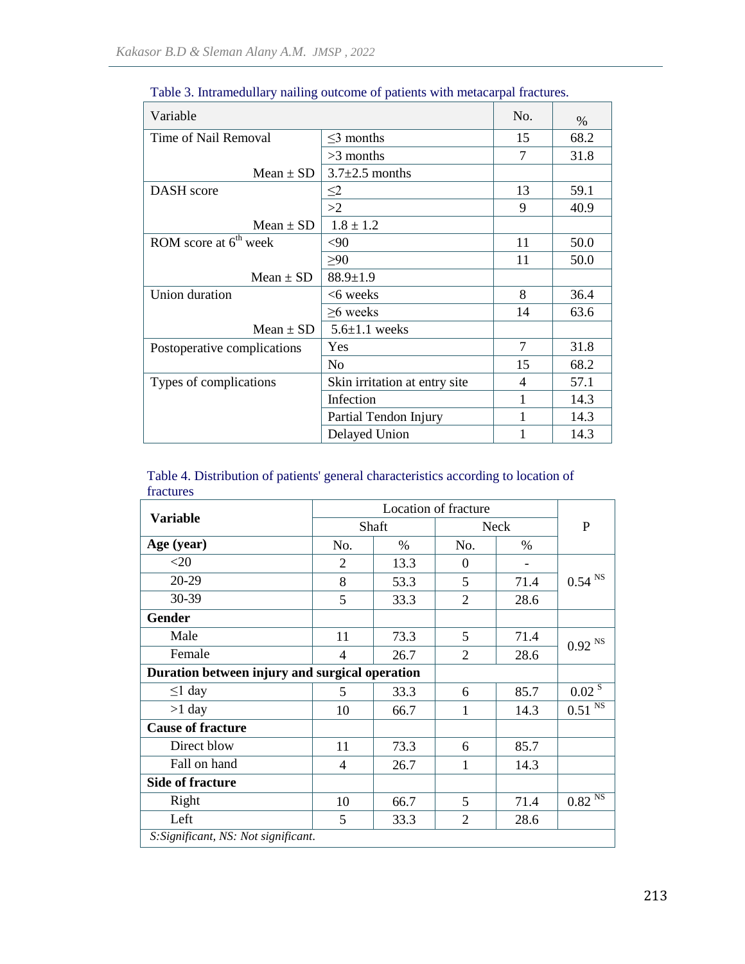| Variable                    |                               |    | $\%$ |
|-----------------------------|-------------------------------|----|------|
| Time of Nail Removal        | $\leq$ 3 months               | 15 | 68.2 |
|                             | $>3$ months                   | 7  | 31.8 |
| Mean $\pm$ SD               | $3.7 \pm 2.5$ months          |    |      |
| <b>DASH</b> score           | $\leq$ 2                      | 13 | 59.1 |
|                             | >2                            | 9  | 40.9 |
| Mean $\pm$ SD               | $1.8 \pm 1.2$                 |    |      |
| ROM score at $6th$ week     | $<$ 90                        | 11 | 50.0 |
|                             | $\geq 90$                     | 11 | 50.0 |
| Mean $\pm$ SD               | $88.9 \pm 1.9$                |    |      |
| Union duration              | <6 weeks                      | 8  | 36.4 |
|                             | $>6$ weeks                    | 14 | 63.6 |
| Mean $\pm$ SD               | $5.6 \pm 1.1$ weeks           |    |      |
| Postoperative complications | Yes                           | 7  | 31.8 |
|                             | N <sub>0</sub>                | 15 | 68.2 |
| Types of complications      | Skin irritation at entry site | 4  | 57.1 |
|                             | Infection                     | 1  | 14.3 |
|                             | Partial Tendon Injury         | 1  | 14.3 |
|                             | Delayed Union                 | 1  | 14.3 |

Table 3. Intramedullary nailing outcome of patients with metacarpal fractures.

|           |  | Table 4. Distribution of patients' general characteristics according to location of |  |
|-----------|--|-------------------------------------------------------------------------------------|--|
| fractures |  |                                                                                     |  |

| <b>Variable</b>                                | Location of fracture |      |                |      |                      |  |
|------------------------------------------------|----------------------|------|----------------|------|----------------------|--|
|                                                | Shaft                |      | <b>Neck</b>    |      | P                    |  |
| Age (year)                                     | No.                  | $\%$ | No.            | $\%$ |                      |  |
| $<$ 20                                         | $\overline{2}$       | 13.3 | $\theta$       |      |                      |  |
| 20-29                                          | 8                    | 53.3 | 5              | 71.4 | $0.54$ $^{\rm NS}$   |  |
| 30-39                                          | 5                    | 33.3 | $\overline{2}$ | 28.6 |                      |  |
| <b>Gender</b>                                  |                      |      |                |      |                      |  |
| Male                                           | 11                   | 73.3 | 5              | 71.4 | $0.92$ <sup>NS</sup> |  |
| Female                                         | 4                    | 26.7 | $\overline{2}$ | 28.6 |                      |  |
| Duration between injury and surgical operation |                      |      |                |      |                      |  |
| $\leq$ 1 day                                   | 5                    | 33.3 | 6              | 85.7 | $0.02^{s}$           |  |
| $>1$ day                                       | 10                   | 66.7 |                | 14.3 | $0.51$ <sup>NS</sup> |  |
| <b>Cause of fracture</b>                       |                      |      |                |      |                      |  |
| Direct blow                                    | 11                   | 73.3 | 6              | 85.7 |                      |  |
| Fall on hand                                   | 4                    | 26.7 | 1              | 14.3 |                      |  |
| <b>Side of fracture</b>                        |                      |      |                |      |                      |  |
| Right                                          | 10                   | 66.7 | 5              | 71.4 | $0.82$ <sup>NS</sup> |  |
| Left                                           | 5                    | 33.3 | 2              | 28.6 |                      |  |
| S: Significant, NS: Not significant.           |                      |      |                |      |                      |  |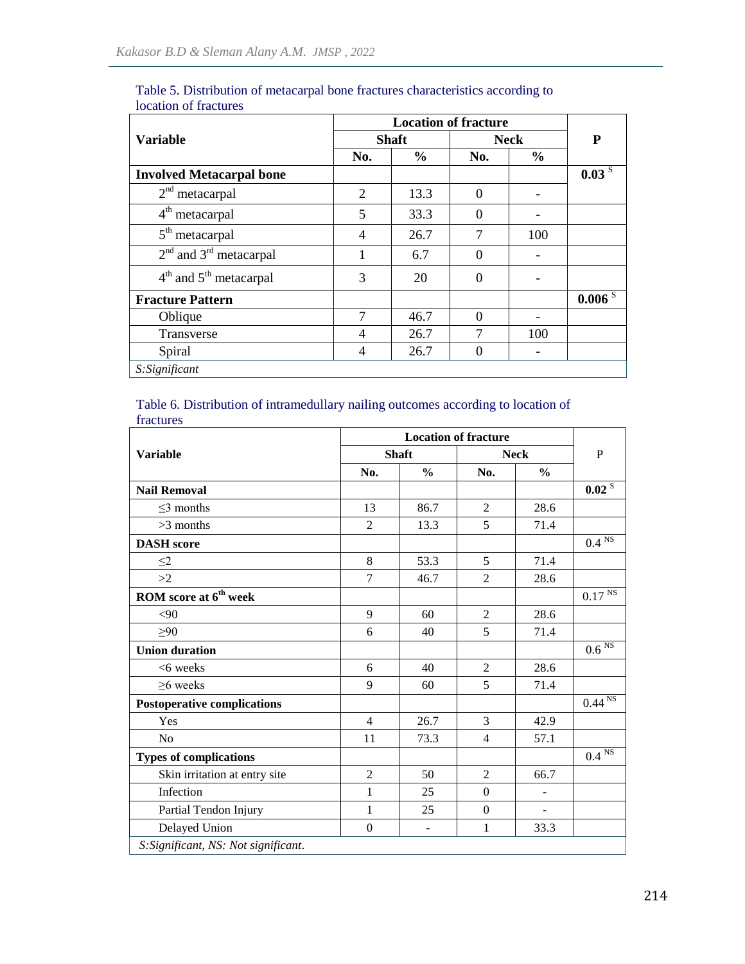|                                 | <b>Location of fracture</b> |               |             |               |                       |
|---------------------------------|-----------------------------|---------------|-------------|---------------|-----------------------|
| <b>Variable</b>                 | <b>Shaft</b>                |               | <b>Neck</b> |               | P                     |
|                                 | No.                         | $\frac{0}{0}$ | No.         | $\frac{6}{9}$ |                       |
| <b>Involved Metacarpal bone</b> |                             |               |             |               | $0.03^{\overline{S}}$ |
| $2nd$ metacarpal                | 2                           | 13.3          | $\Omega$    |               |                       |
| 4 <sup>th</sup> metacarpal      | 5                           | 33.3          | $\Omega$    |               |                       |
| $5th$ metacarpal                | 4                           | 26.7          | 7           | 100           |                       |
| $2nd$ and $3rd$ metacarpal      |                             | 6.7           | $\theta$    |               |                       |
| $4th$ and $5th$ metacarpal      | 3                           | 20            | $\Omega$    |               |                       |
| <b>Fracture Pattern</b>         |                             |               |             |               | 0.006 S               |
| Oblique                         | 7                           | 46.7          | $\theta$    |               |                       |
| Transverse                      | 4                           | 26.7          | 7           | 100           |                       |
| Spiral                          | 4                           | 26.7          | $\theta$    |               |                       |
| S:Significant                   |                             |               |             |               |                       |

#### Table 5. Distribution of metacarpal bone fractures characteristics according to location of fractures

#### Table 6. Distribution of intramedullary nailing outcomes according to location of fractures

|                                      | <b>Location of fracture</b> |                |                |                          |                                 |
|--------------------------------------|-----------------------------|----------------|----------------|--------------------------|---------------------------------|
| <b>Variable</b>                      | <b>Shaft</b>                |                | <b>Neck</b>    |                          | P                               |
|                                      | No.                         | $\frac{0}{0}$  | No.            | $\frac{0}{0}$            |                                 |
| <b>Nail Removal</b>                  |                             |                |                |                          | 0.02 <sup>S</sup>               |
| $\leq$ 3 months                      | 13                          | 86.7           | $\overline{2}$ | 28.6                     |                                 |
| $>3$ months                          | $\mathfrak{D}$              | 13.3           | 5              | 71.4                     |                                 |
| <b>DASH</b> score                    |                             |                |                |                          | $0.4 \overline{\text{NS}}$      |
| $\leq$ 2                             | 8                           | 53.3           | 5              | 71.4                     |                                 |
| >2                                   | $\overline{7}$              | 46.7           | $\overline{2}$ | 28.6                     |                                 |
| ROM score at 6 <sup>th</sup> week    |                             |                |                |                          | $0.17$ <sup>NS</sup>            |
| <90                                  | 9                           | 60             | $\overline{2}$ | 28.6                     |                                 |
| >90                                  | 6                           | 40             | 5              | 71.4                     |                                 |
| <b>Union duration</b>                |                             |                |                |                          | $0.6\,\overline{\rm {^{NS}}}$   |
| <6 weeks                             | 6                           | 40             | $\overline{2}$ | 28.6                     |                                 |
| $\geq$ 6 weeks                       | 9                           | 60             | 5              | 71.4                     |                                 |
| <b>Postoperative complications</b>   |                             |                |                |                          | $0.44 \overline{\text{NS}}$     |
| Yes                                  | $\overline{4}$              | 26.7           | 3              | 42.9                     |                                 |
| N <sub>o</sub>                       | 11                          | 73.3           | $\overline{4}$ | 57.1                     |                                 |
| <b>Types of complications</b>        |                             |                |                |                          | $0.4$ $^{\overline{\text{NS}}}$ |
| Skin irritation at entry site        | $\overline{2}$              | 50             | $\overline{2}$ | 66.7                     |                                 |
| Infection                            | $\mathbf{1}$                | 25             | $\Omega$       | $\overline{a}$           |                                 |
| Partial Tendon Injury                | 1                           | 25             | $\theta$       | $\overline{\phantom{a}}$ |                                 |
| Delayed Union                        | $\boldsymbol{0}$            | $\blacksquare$ | $\mathbf{1}$   | 33.3                     |                                 |
| S: Significant, NS: Not significant. |                             |                |                |                          |                                 |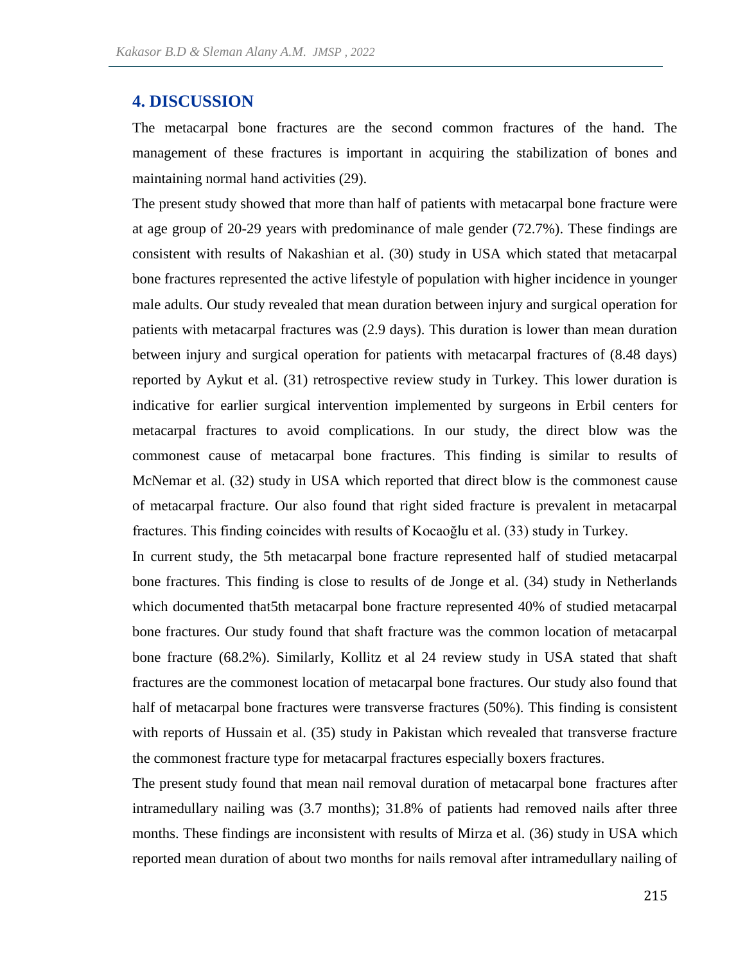### **4. DISCUSSION**

The metacarpal bone fractures are the second common fractures of the hand. The management of these fractures is important in acquiring the stabilization of bones and maintaining normal hand activities (29).

The present study showed that more than half of patients with metacarpal bone fracture were at age group of 20-29 years with predominance of male gender (72.7%). These findings are consistent with results of Nakashian et al. (30) study in USA which stated that metacarpal bone fractures represented the active lifestyle of population with higher incidence in younger male adults. Our study revealed that mean duration between injury and surgical operation for patients with metacarpal fractures was (2.9 days). This duration is lower than mean duration between injury and surgical operation for patients with metacarpal fractures of (8.48 days) reported by Aykut et al. (31) retrospective review study in Turkey. This lower duration is indicative for earlier surgical intervention implemented by surgeons in Erbil centers for metacarpal fractures to avoid complications. In our study, the direct blow was the commonest cause of metacarpal bone fractures. This finding is similar to results of McNemar et al. (32) study in USA which reported that direct blow is the commonest cause of metacarpal fracture. Our also found that right sided fracture is prevalent in metacarpal fractures. This finding coincides with results of Kocaoğlu et al. (33) study in Turkey.

In current study, the 5th metacarpal bone fracture represented half of studied metacarpal bone fractures. This finding is close to results of de Jonge et al. (34) study in Netherlands which documented that5th metacarpal bone fracture represented 40% of studied metacarpal bone fractures. Our study found that shaft fracture was the common location of metacarpal bone fracture (68.2%). Similarly, Kollitz et al 24 review study in USA stated that shaft fractures are the commonest location of metacarpal bone fractures. Our study also found that half of metacarpal bone fractures were transverse fractures (50%). This finding is consistent with reports of Hussain et al.  $(35)$  study in Pakistan which revealed that transverse fracture the commonest fracture type for metacarpal fractures especially boxers fractures.

The present study found that mean nail removal duration of metacarpal bone fractures after intramedullary nailing was (3.7 months); 31.8% of patients had removed nails after three months. These findings are inconsistent with results of Mirza et al. (36) study in USA which reported mean duration of about two months for nails removal after intramedullary nailing of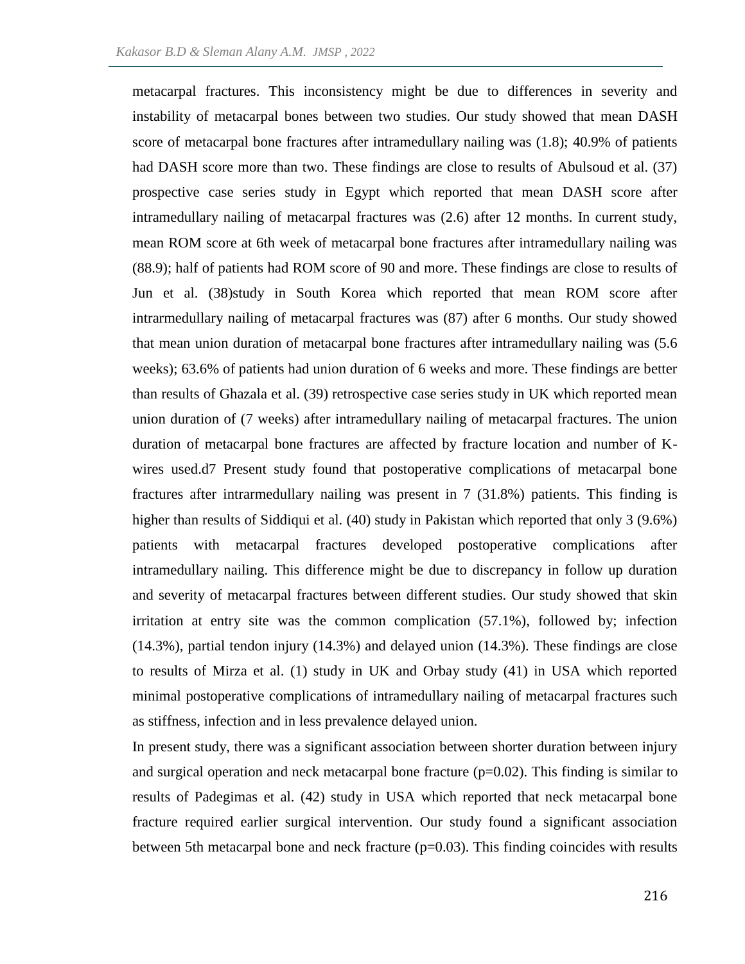metacarpal fractures. This inconsistency might be due to differences in severity and instability of metacarpal bones between two studies. Our study showed that mean DASH score of metacarpal bone fractures after intramedullary nailing was (1.8); 40.9% of patients had DASH score more than two. These findings are close to results of Abulsoud et al. (37) prospective case series study in Egypt which reported that mean DASH score after intramedullary nailing of metacarpal fractures was (2.6) after 12 months. In current study, mean ROM score at 6th week of metacarpal bone fractures after intramedullary nailing was (88.9); half of patients had ROM score of 90 and more. These findings are close to results of Jun et al. (38)study in South Korea which reported that mean ROM score after intrarmedullary nailing of metacarpal fractures was (87) after 6 months. Our study showed that mean union duration of metacarpal bone fractures after intramedullary nailing was (5.6 weeks); 63.6% of patients had union duration of 6 weeks and more. These findings are better than results of Ghazala et al. (39) retrospective case series study in UK which reported mean union duration of (7 weeks) after intramedullary nailing of metacarpal fractures. The union duration of metacarpal bone fractures are affected by fracture location and number of Kwires used.d7 Present study found that postoperative complications of metacarpal bone fractures after intrarmedullary nailing was present in 7 (31.8%) patients. This finding is higher than results of Siddiqui et al. (40) study in Pakistan which reported that only 3 (9.6%) patients with metacarpal fractures developed postoperative complications after intramedullary nailing. This difference might be due to discrepancy in follow up duration and severity of metacarpal fractures between different studies. Our study showed that skin irritation at entry site was the common complication (57.1%), followed by; infection (14.3%), partial tendon injury (14.3%) and delayed union (14.3%). These findings are close to results of Mirza et al. (1) study in UK and Orbay study (41) in USA which reported minimal postoperative complications of intramedullary nailing of metacarpal fractures such as stiffness, infection and in less prevalence delayed union.

In present study, there was a significant association between shorter duration between injury and surgical operation and neck metacarpal bone fracture  $(p=0.02)$ . This finding is similar to results of Padegimas et al. (42) study in USA which reported that neck metacarpal bone fracture required earlier surgical intervention. Our study found a significant association between 5th metacarpal bone and neck fracture (p=0.03). This finding coincides with results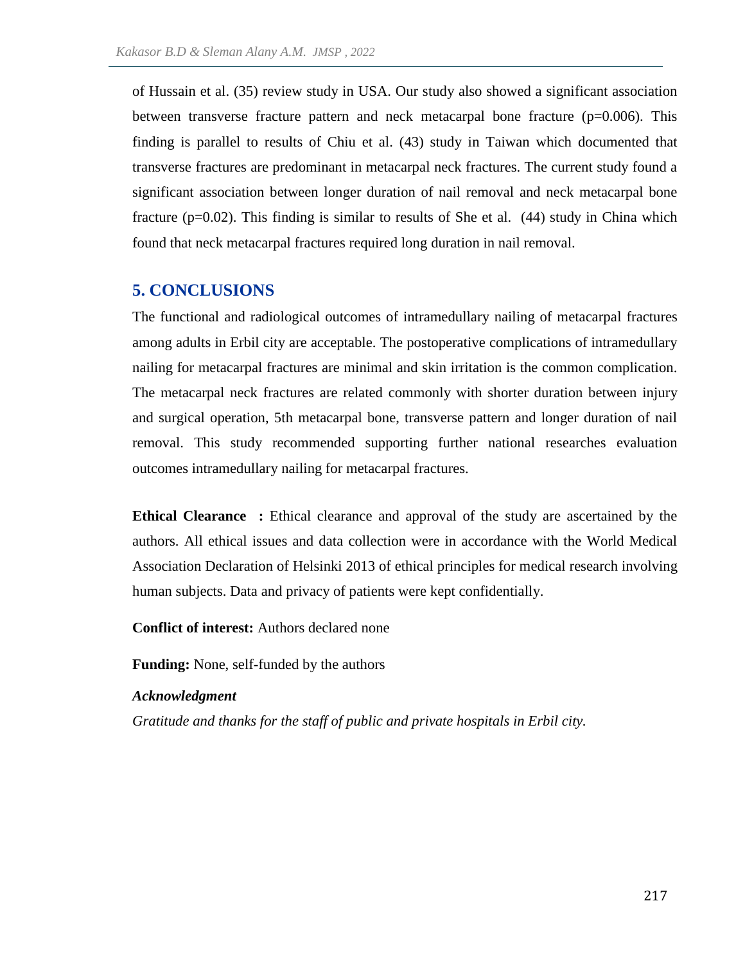of Hussain et al. (35) review study in USA. Our study also showed a significant association between transverse fracture pattern and neck metacarpal bone fracture (p=0.006). This finding is parallel to results of Chiu et al. (43) study in Taiwan which documented that transverse fractures are predominant in metacarpal neck fractures. The current study found a significant association between longer duration of nail removal and neck metacarpal bone fracture ( $p=0.02$ ). This finding is similar to results of She et al. (44) study in China which found that neck metacarpal fractures required long duration in nail removal.

### **5. CONCLUSIONS**

The functional and radiological outcomes of intramedullary nailing of metacarpal fractures among adults in Erbil city are acceptable. The postoperative complications of intramedullary nailing for metacarpal fractures are minimal and skin irritation is the common complication. The metacarpal neck fractures are related commonly with shorter duration between injury and surgical operation, 5th metacarpal bone, transverse pattern and longer duration of nail removal. This study recommended supporting further national researches evaluation outcomes intramedullary nailing for metacarpal fractures.

**Ethical Clearance** : Ethical clearance and approval of the study are ascertained by the authors. All ethical issues and data collection were in accordance with the World Medical Association Declaration of Helsinki 2013 of ethical principles for medical research involving human subjects. Data and privacy of patients were kept confidentially.

**Conflict of interest:** Authors declared none

**Funding:** None, self-funded by the authors

#### *Acknowledgment*

*Gratitude and thanks for the staff of public and private hospitals in Erbil city.*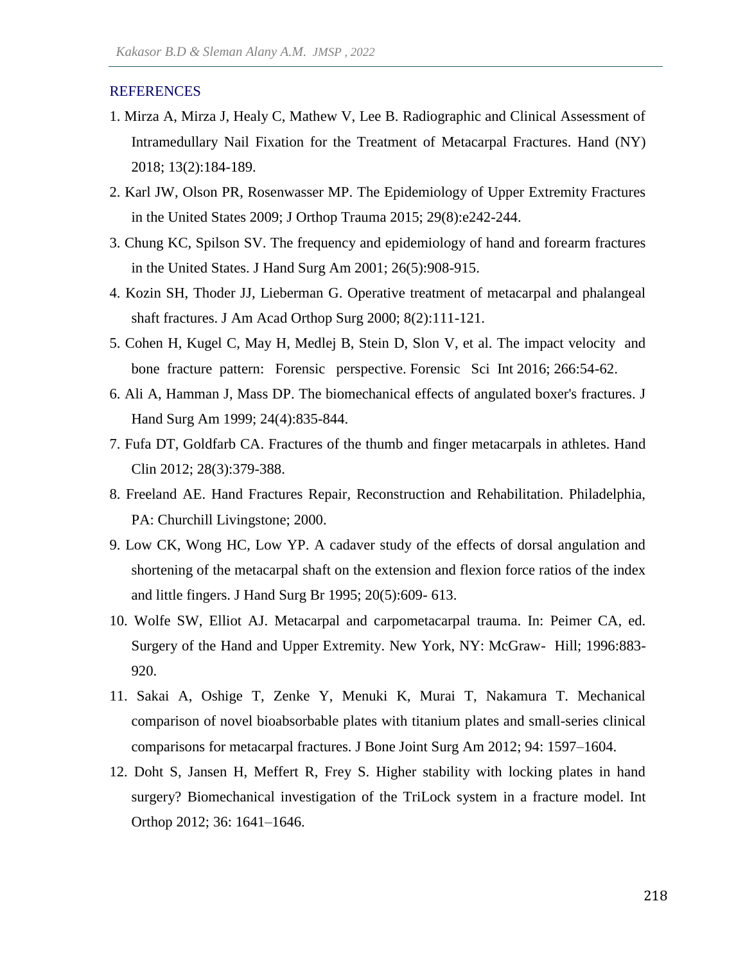#### **REFERENCES**

- 1. Mirza A, Mirza J, Healy C, Mathew V, Lee B. Radiographic and Clinical Assessment of Intramedullary Nail Fixation for the Treatment of Metacarpal Fractures. Hand (NY) 2018; 13(2):184-189.
- 2. Karl JW, Olson PR, Rosenwasser MP. The Epidemiology of Upper Extremity Fractures in the United States 2009; J Orthop Trauma 2015; 29(8):e242-244.
- 3. Chung KC, Spilson SV. The frequency and epidemiology of hand and forearm fractures in the United States. J Hand Surg Am 2001; 26(5):908-915.
- 4. Kozin SH, Thoder JJ, Lieberman G. Operative treatment of metacarpal and phalangeal shaft fractures. J Am Acad Orthop Surg 2000; 8(2):111-121.
- 5. Cohen H, Kugel C, May H, Medlej B, Stein D, Slon V, et al. The impact velocity and bone fracture pattern: Forensic perspective. Forensic Sci Int 2016; 266:54-62.
- 6. Ali A, Hamman J, Mass DP. The biomechanical effects of angulated boxer's fractures. J Hand Surg Am 1999; 24(4):835-844.
- 7. Fufa DT, Goldfarb CA. Fractures of the thumb and finger metacarpals in athletes. Hand Clin 2012; 28(3):379-388.
- 8. Freeland AE. Hand Fractures Repair, Reconstruction and Rehabilitation. Philadelphia, PA: Churchill Livingstone; 2000.
- 9. Low CK, Wong HC, Low YP. A cadaver study of the effects of dorsal angulation and shortening of the metacarpal shaft on the extension and flexion force ratios of the index and little fingers. J Hand Surg Br 1995; 20(5):609- 613.
- 10. Wolfe SW, Elliot AJ. Metacarpal and carpometacarpal trauma. In: Peimer CA, ed. Surgery of the Hand and Upper Extremity. New York, NY: McGraw- Hill; 1996:883- 920.
- 11. Sakai A, Oshige T, Zenke Y, Menuki K, Murai T, Nakamura T. Mechanical comparison of novel bioabsorbable plates with titanium plates and small-series clinical comparisons for metacarpal fractures. J Bone Joint Surg Am 2012; 94: 1597–1604.
- 12. Doht S, Jansen H, Meffert R, Frey S. Higher stability with locking plates in hand surgery? Biomechanical investigation of the TriLock system in a fracture model. Int Orthop 2012; 36: 1641–1646.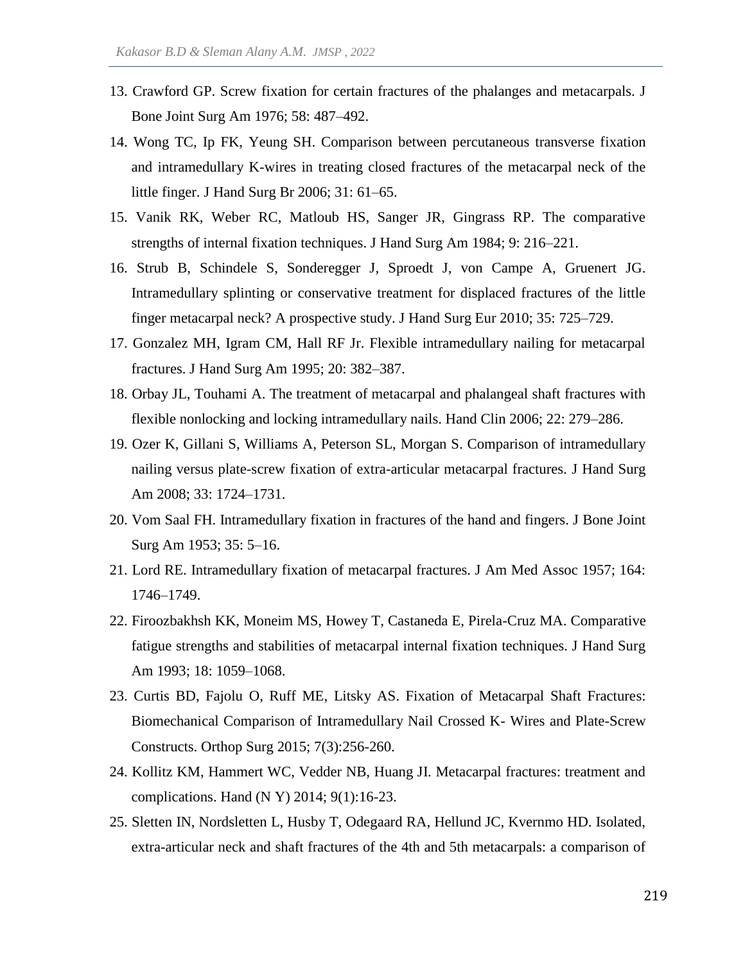- 13. Crawford GP. Screw fixation for certain fractures of the phalanges and metacarpals. J Bone Joint Surg Am 1976; 58: 487–492.
- 14. Wong TC, Ip FK, Yeung SH. Comparison between percutaneous transverse fixation and intramedullary K-wires in treating closed fractures of the metacarpal neck of the little finger. J Hand Surg Br 2006; 31: 61–65.
- 15. Vanik RK, Weber RC, Matloub HS, Sanger JR, Gingrass RP. The comparative strengths of internal fixation techniques. J Hand Surg Am 1984; 9: 216–221.
- 16. Strub B, Schindele S, Sonderegger J, Sproedt J, von Campe A, Gruenert JG. Intramedullary splinting or conservative treatment for displaced fractures of the little finger metacarpal neck? A prospective study. J Hand Surg Eur 2010; 35: 725–729.
- 17. Gonzalez MH, Igram CM, Hall RF Jr. Flexible intramedullary nailing for metacarpal fractures. J Hand Surg Am 1995; 20: 382–387.
- 18. Orbay JL, Touhami A. The treatment of metacarpal and phalangeal shaft fractures with flexible nonlocking and locking intramedullary nails. Hand Clin 2006; 22: 279–286.
- 19. Ozer K, Gillani S, Williams A, Peterson SL, Morgan S. Comparison of intramedullary nailing versus plate-screw fixation of extra-articular metacarpal fractures. J Hand Surg Am 2008; 33: 1724–1731.
- 20. Vom Saal FH. Intramedullary fixation in fractures of the hand and fingers. J Bone Joint Surg Am 1953; 35: 5–16.
- 21. Lord RE. Intramedullary fixation of metacarpal fractures. J Am Med Assoc 1957; 164: 1746–1749.
- 22. Firoozbakhsh KK, Moneim MS, Howey T, Castaneda E, Pirela-Cruz MA. Comparative fatigue strengths and stabilities of metacarpal internal fixation techniques. J Hand Surg Am 1993; 18: 1059–1068.
- 23. Curtis BD, Fajolu O, Ruff ME, Litsky AS. Fixation of Metacarpal Shaft Fractures: Biomechanical Comparison of Intramedullary Nail Crossed K- Wires and Plate-Screw Constructs. Orthop Surg 2015; 7(3):256-260.
- 24. Kollitz KM, Hammert WC, Vedder NB, Huang JI. Metacarpal fractures: treatment and complications. Hand (N Y) 2014; 9(1):16-23.
- 25. Sletten IN, Nordsletten L, Husby T, Odegaard RA, Hellund JC, Kvernmo HD. Isolated, extra-articular neck and shaft fractures of the 4th and 5th metacarpals: a comparison of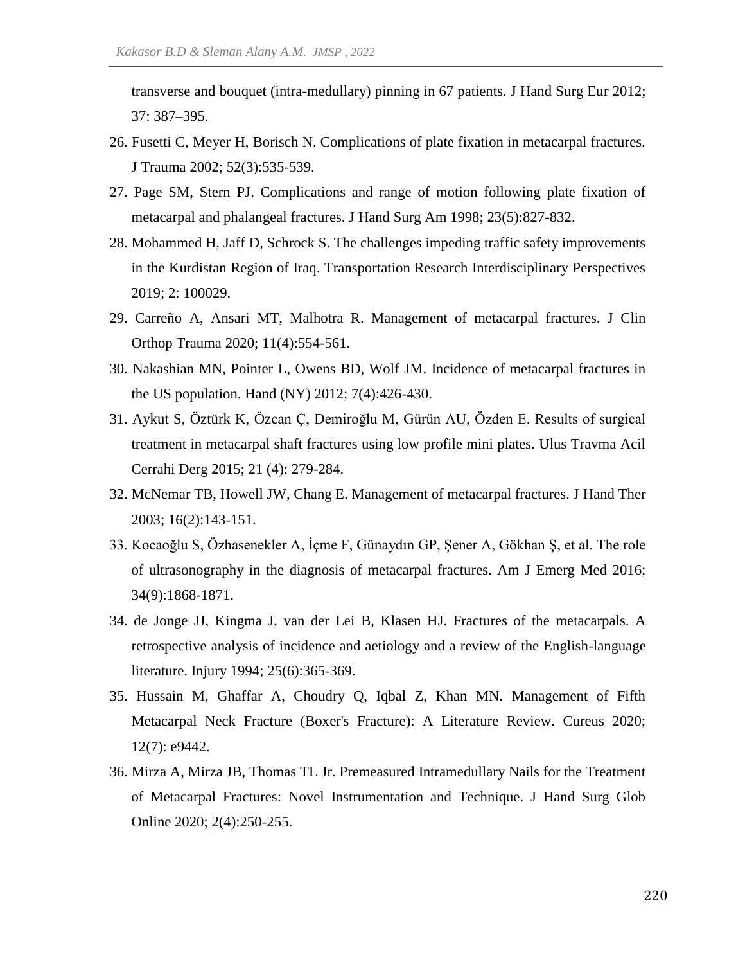transverse and bouquet (intra-medullary) pinning in 67 patients. J Hand Surg Eur 2012; 37: 387–395.

- 26. Fusetti C, Meyer H, Borisch N. Complications of plate fixation in metacarpal fractures. J Trauma 2002; 52(3):535-539.
- 27. Page SM, Stern PJ. Complications and range of motion following plate fixation of metacarpal and phalangeal fractures. J Hand Surg Am 1998; 23(5):827-832.
- 28. Mohammed H, Jaff D, Schrock S. The challenges impeding traffic safety improvements in the Kurdistan Region of Iraq. Transportation Research Interdisciplinary Perspectives 2019; 2: 100029.
- 29. Carreño A, Ansari MT, Malhotra R. Management of metacarpal fractures. J Clin Orthop Trauma 2020; 11(4):554-561.
- 30. Nakashian MN, Pointer L, Owens BD, Wolf JM. Incidence of metacarpal fractures in the US population. Hand (NY) 2012; 7(4):426-430.
- 31. Aykut S, Öztürk K, Özcan Ç, Demiroğlu M, Gürün AU, Özden E. Results of surgical treatment in metacarpal shaft fractures using low profile mini plates. Ulus Travma Acil Cerrahi Derg 2015; 21 (4): 279-284.
- 32. McNemar TB, Howell JW, Chang E. Management of metacarpal fractures. J Hand Ther 2003; 16(2):143-151.
- 33. Kocaoğlu S, Özhasenekler A, İçme F, Günaydın GP, Şener A, Gökhan Ş, et al. The role of ultrasonography in the diagnosis of metacarpal fractures. Am J Emerg Med 2016; 34(9):1868-1871.
- 34. de Jonge JJ, Kingma J, van der Lei B, Klasen HJ. Fractures of the metacarpals. A retrospective analysis of incidence and aetiology and a review of the English-language literature. Injury 1994; 25(6):365-369.
- 35. Hussain M, Ghaffar A, Choudry Q, Iqbal Z, Khan MN. Management of Fifth Metacarpal Neck Fracture (Boxer's Fracture): A Literature Review. Cureus 2020; 12(7): e9442.
- 36. Mirza A, Mirza JB, Thomas TL Jr. Premeasured Intramedullary Nails for the Treatment of Metacarpal Fractures: Novel Instrumentation and Technique. J Hand Surg Glob Online 2020; 2(4):250-255.